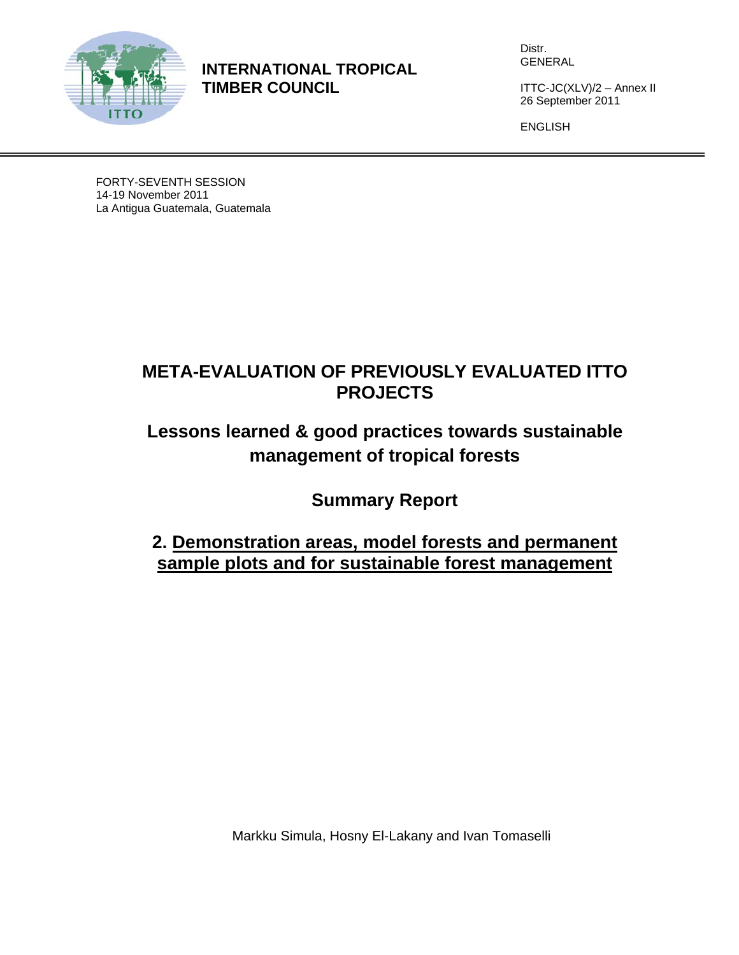

**INTERNATIONAL TROPICAL TIMBER COUNCIL** 

Distr. GENERAL

ITTC-JC(XLV)/2 – Annex II 26 September 2011

ENGLISH

FORTY-SEVENTH SESSION 14-19 November 2011 La Antigua Guatemala, Guatemala

## **META-EVALUATION OF PREVIOUSLY EVALUATED ITTO PROJECTS**

# **Lessons learned & good practices towards sustainable management of tropical forests**

**Summary Report** 

## **2. Demonstration areas, model forests and permanent sample plots and for sustainable forest management**

Markku Simula, Hosny El-Lakany and Ivan Tomaselli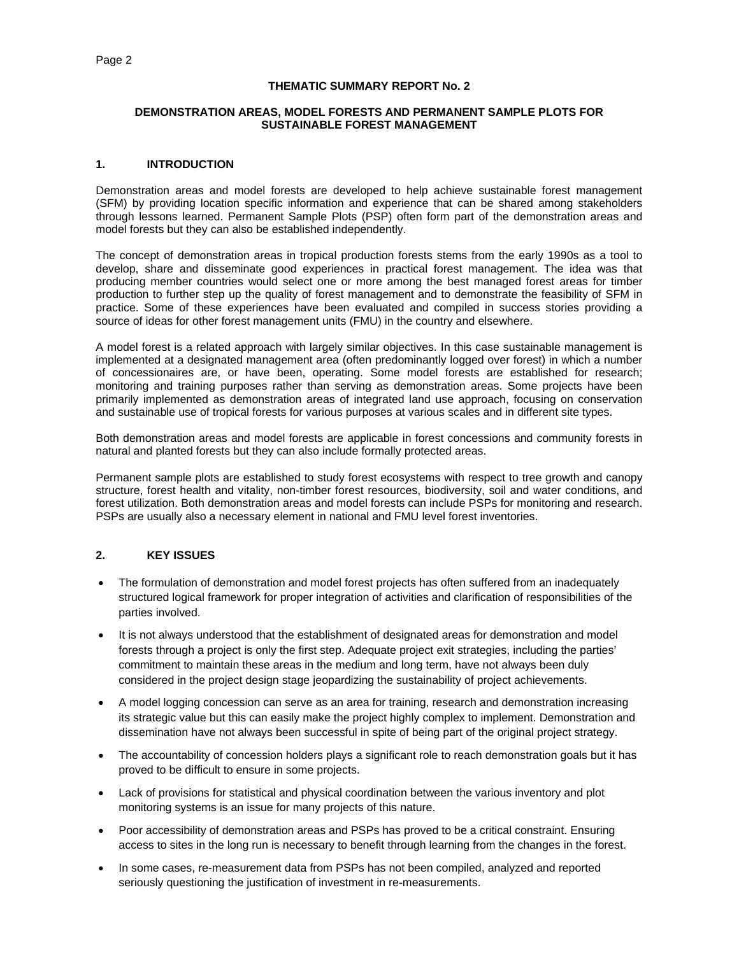#### **THEMATIC SUMMARY REPORT No. 2**

#### **DEMONSTRATION AREAS, MODEL FORESTS AND PERMANENT SAMPLE PLOTS FOR SUSTAINABLE FOREST MANAGEMENT**

#### **1. INTRODUCTION**

Demonstration areas and model forests are developed to help achieve sustainable forest management (SFM) by providing location specific information and experience that can be shared among stakeholders through lessons learned. Permanent Sample Plots (PSP) often form part of the demonstration areas and model forests but they can also be established independently.

The concept of demonstration areas in tropical production forests stems from the early 1990s as a tool to develop, share and disseminate good experiences in practical forest management. The idea was that producing member countries would select one or more among the best managed forest areas for timber production to further step up the quality of forest management and to demonstrate the feasibility of SFM in practice. Some of these experiences have been evaluated and compiled in success stories providing a source of ideas for other forest management units (FMU) in the country and elsewhere.

A model forest is a related approach with largely similar objectives. In this case sustainable management is implemented at a designated management area (often predominantly logged over forest) in which a number of concessionaires are, or have been, operating. Some model forests are established for research; monitoring and training purposes rather than serving as demonstration areas. Some projects have been primarily implemented as demonstration areas of integrated land use approach, focusing on conservation and sustainable use of tropical forests for various purposes at various scales and in different site types.

Both demonstration areas and model forests are applicable in forest concessions and community forests in natural and planted forests but they can also include formally protected areas.

Permanent sample plots are established to study forest ecosystems with respect to tree growth and canopy structure, forest health and vitality, non-timber forest resources, biodiversity, soil and water conditions, and forest utilization. Both demonstration areas and model forests can include PSPs for monitoring and research. PSPs are usually also a necessary element in national and FMU level forest inventories.

#### **2. KEY ISSUES**

- The formulation of demonstration and model forest projects has often suffered from an inadequately structured logical framework for proper integration of activities and clarification of responsibilities of the parties involved.
- It is not always understood that the establishment of designated areas for demonstration and model forests through a project is only the first step. Adequate project exit strategies, including the parties' commitment to maintain these areas in the medium and long term, have not always been duly considered in the project design stage jeopardizing the sustainability of project achievements.
- A model logging concession can serve as an area for training, research and demonstration increasing its strategic value but this can easily make the project highly complex to implement. Demonstration and dissemination have not always been successful in spite of being part of the original project strategy.
- The accountability of concession holders plays a significant role to reach demonstration goals but it has proved to be difficult to ensure in some projects.
- Lack of provisions for statistical and physical coordination between the various inventory and plot monitoring systems is an issue for many projects of this nature.
- Poor accessibility of demonstration areas and PSPs has proved to be a critical constraint. Ensuring access to sites in the long run is necessary to benefit through learning from the changes in the forest.
- In some cases, re-measurement data from PSPs has not been compiled, analyzed and reported seriously questioning the justification of investment in re-measurements.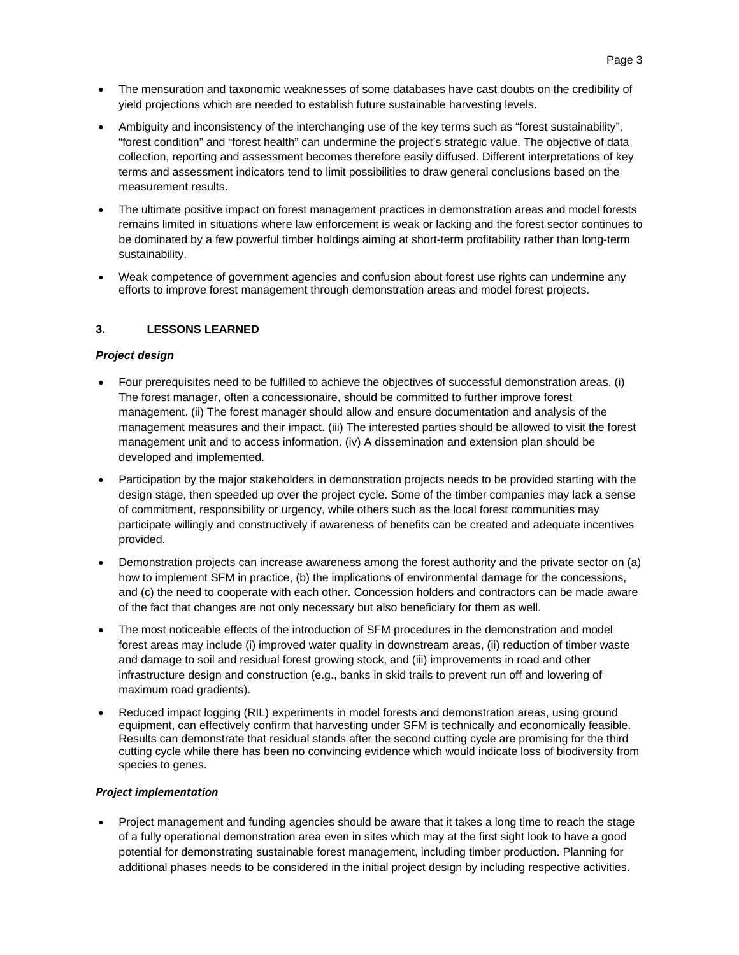- The mensuration and taxonomic weaknesses of some databases have cast doubts on the credibility of yield projections which are needed to establish future sustainable harvesting levels.
- Ambiguity and inconsistency of the interchanging use of the key terms such as "forest sustainability", "forest condition" and "forest health" can undermine the project's strategic value. The objective of data collection, reporting and assessment becomes therefore easily diffused. Different interpretations of key terms and assessment indicators tend to limit possibilities to draw general conclusions based on the measurement results.
- The ultimate positive impact on forest management practices in demonstration areas and model forests remains limited in situations where law enforcement is weak or lacking and the forest sector continues to be dominated by a few powerful timber holdings aiming at short-term profitability rather than long-term sustainability.
- Weak competence of government agencies and confusion about forest use rights can undermine any efforts to improve forest management through demonstration areas and model forest projects.

### **3. LESSONS LEARNED**

#### *Project design*

- Four prerequisites need to be fulfilled to achieve the objectives of successful demonstration areas. (i) The forest manager, often a concessionaire, should be committed to further improve forest management. (ii) The forest manager should allow and ensure documentation and analysis of the management measures and their impact. (iii) The interested parties should be allowed to visit the forest management unit and to access information. (iv) A dissemination and extension plan should be developed and implemented.
- Participation by the major stakeholders in demonstration projects needs to be provided starting with the design stage, then speeded up over the project cycle. Some of the timber companies may lack a sense of commitment, responsibility or urgency, while others such as the local forest communities may participate willingly and constructively if awareness of benefits can be created and adequate incentives provided.
- Demonstration projects can increase awareness among the forest authority and the private sector on (a) how to implement SFM in practice, (b) the implications of environmental damage for the concessions, and (c) the need to cooperate with each other. Concession holders and contractors can be made aware of the fact that changes are not only necessary but also beneficiary for them as well.
- The most noticeable effects of the introduction of SFM procedures in the demonstration and model forest areas may include (i) improved water quality in downstream areas, (ii) reduction of timber waste and damage to soil and residual forest growing stock, and (iii) improvements in road and other infrastructure design and construction (e.g., banks in skid trails to prevent run off and lowering of maximum road gradients).
- Reduced impact logging (RIL) experiments in model forests and demonstration areas, using ground equipment, can effectively confirm that harvesting under SFM is technically and economically feasible. Results can demonstrate that residual stands after the second cutting cycle are promising for the third cutting cycle while there has been no convincing evidence which would indicate loss of biodiversity from species to genes.

#### *Project implementation*

• Project management and funding agencies should be aware that it takes a long time to reach the stage of a fully operational demonstration area even in sites which may at the first sight look to have a good potential for demonstrating sustainable forest management, including timber production. Planning for additional phases needs to be considered in the initial project design by including respective activities.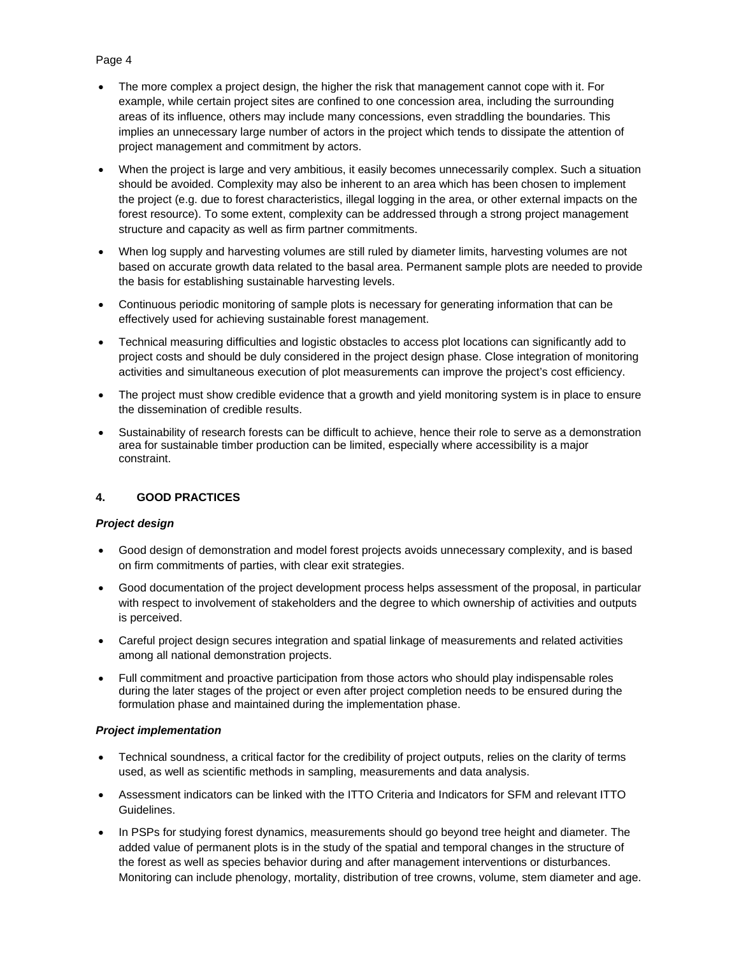### Page 4

- The more complex a project design, the higher the risk that management cannot cope with it. For example, while certain project sites are confined to one concession area, including the surrounding areas of its influence, others may include many concessions, even straddling the boundaries. This implies an unnecessary large number of actors in the project which tends to dissipate the attention of project management and commitment by actors.
- When the project is large and very ambitious, it easily becomes unnecessarily complex. Such a situation should be avoided. Complexity may also be inherent to an area which has been chosen to implement the project (e.g. due to forest characteristics, illegal logging in the area, or other external impacts on the forest resource). To some extent, complexity can be addressed through a strong project management structure and capacity as well as firm partner commitments.
- When log supply and harvesting volumes are still ruled by diameter limits, harvesting volumes are not based on accurate growth data related to the basal area. Permanent sample plots are needed to provide the basis for establishing sustainable harvesting levels.
- Continuous periodic monitoring of sample plots is necessary for generating information that can be effectively used for achieving sustainable forest management.
- Technical measuring difficulties and logistic obstacles to access plot locations can significantly add to project costs and should be duly considered in the project design phase. Close integration of monitoring activities and simultaneous execution of plot measurements can improve the project's cost efficiency.
- The project must show credible evidence that a growth and yield monitoring system is in place to ensure the dissemination of credible results.
- Sustainability of research forests can be difficult to achieve, hence their role to serve as a demonstration area for sustainable timber production can be limited, especially where accessibility is a major constraint.

#### **4. GOOD PRACTICES**

#### *Project design*

- Good design of demonstration and model forest projects avoids unnecessary complexity, and is based on firm commitments of parties, with clear exit strategies.
- Good documentation of the project development process helps assessment of the proposal, in particular with respect to involvement of stakeholders and the degree to which ownership of activities and outputs is perceived.
- Careful project design secures integration and spatial linkage of measurements and related activities among all national demonstration projects.
- Full commitment and proactive participation from those actors who should play indispensable roles during the later stages of the project or even after project completion needs to be ensured during the formulation phase and maintained during the implementation phase.

#### *Project implementation*

- Technical soundness, a critical factor for the credibility of project outputs, relies on the clarity of terms used, as well as scientific methods in sampling, measurements and data analysis.
- Assessment indicators can be linked with the ITTO Criteria and Indicators for SFM and relevant ITTO Guidelines.
- In PSPs for studying forest dynamics, measurements should go beyond tree height and diameter. The added value of permanent plots is in the study of the spatial and temporal changes in the structure of the forest as well as species behavior during and after management interventions or disturbances. Monitoring can include phenology, mortality, distribution of tree crowns, volume, stem diameter and age.